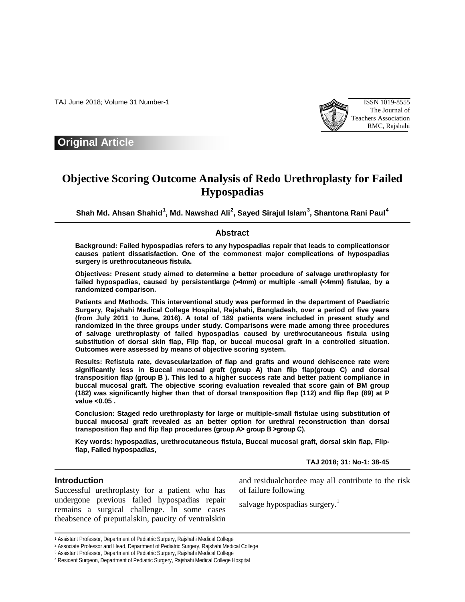TAJ June 2018; Volume 31 Number-1 ISSN 1019-8555



**Original Article**

# **Objective Scoring Outcome Analysis of Redo Urethroplasty for Failed Hypospadias**

**Shah Md. Ahsan Shahid[1](#page-0-0) , Md. Nawshad Ali[2](#page-0-1) , Sayed Sirajul Islam[3](#page-0-2) , Shantona Rani Paul[4](#page-0-3)**

### **Abstract**

**Background: Failed hypospadias refers to any hypospadias repair that leads to complicationsor causes patient dissatisfaction. One of the commonest major complications of hypospadias surgery is urethrocutaneous fistula.**

**Objectives: Present study aimed to determine a better procedure of salvage urethroplasty for failed hypospadias, caused by persistentlarge (>4mm) or multiple -small (<4mm) fistulae, by a randomized comparison.**

**Patients and Methods. This interventional study was performed in the department of Paediatric Surgery, Rajshahi Medical College Hospital, Rajshahi, Bangladesh, over a period of five years (from July 2011 to June, 2016). A total of 189 patients were included in present study and randomized in the three groups under study. Comparisons were made among three procedures of salvage urethroplasty of failed hypospadias caused by urethrocutaneous fistula using substitution of dorsal skin flap, Flip flap, or buccal mucosal graft in a controlled situation. Outcomes were assessed by means of objective scoring system.**

**Results: Refistula rate, devascularization of flap and grafts and wound dehiscence rate were significantly less in Buccal mucosal graft (group A) than flip flap(group C) and dorsal transposition flap (group B ). This led to a higher success rate and better patient compliance in buccal mucosal graft. The objective scoring evaluation revealed that score gain of BM group (182) was significantly higher than that of dorsal transposition flap (112) and flip flap (89) at P value <0.05 .**

**Conclusion: Staged redo urethroplasty for large or multiple-small fistulae using substitution of buccal mucosal graft revealed as an better option for urethral reconstruction than dorsal transposition flap and flip flap procedures (group A˃ group B ˃group C).**

**Key words: hypospadias, urethrocutaneous fistula, Buccal mucosal graft, dorsal skin flap, Flipflap, Failed hypospadias,**

**TAJ 2018; 31: No-1: 38-45**

## **Introduction**

1

Successful urethroplasty for a patient who has undergone previous failed hypospadias repair remains a surgical challenge. In some cases theabsence of preputialskin, paucity of ventralskin and residualchordee may all contribute to the risk of failure following

salvage hypospadias surgery.<sup>1</sup>

<sup>1</sup> Assistant Professor, Department of Pediatric Surgery, Rajshahi Medical College

<span id="page-0-1"></span><span id="page-0-0"></span><sup>2</sup> Associate Professor and Head, Department of Pediatric Surgery, Rajshahi Medical College

<span id="page-0-2"></span><sup>3</sup> Assistant Professor, Department of Pediatric Surgery, Rajshahi Medical College

<span id="page-0-3"></span><sup>4</sup> Resident Surgeon, Department of Pediatric Surgery, Rajshahi Medical College Hospital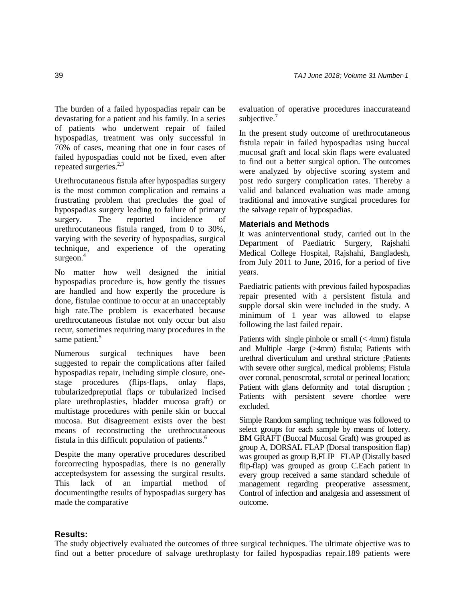The burden of a failed hypospadias repair can be devastating for a patient and his family. In a series of patients who underwent repair of failed hypospadias, treatment was only successful in 76% of cases, meaning that one in four cases of failed hypospadias could not be fixed, even after repeated surgeries.<sup>2,3</sup>

Urethrocutaneous fistula after hypospadias surgery is the most common complication and remains a frustrating problem that precludes the goal of hypospadias surgery leading to failure of primary surgery. The reported incidence of urethrocutaneous fistula ranged, from 0 to 30%, varying with the severity of hypospadias, surgical technique, and experience of the operating surgeon. $4$ 

No matter how well designed the initial hypospadias procedure is, how gently the tissues are handled and how expertly the procedure is done, fistulae continue to occur at an unacceptably high rate.The problem is exacerbated because urethrocutaneous fistulae not only occur but also recur, sometimes requiring many procedures in the same patient.<sup>5</sup>

Numerous surgical techniques have been suggested to repair the complications after failed hypospadias repair, including simple closure, onestage procedures (flips-flaps, onlay flaps, tubularizedpreputial flaps or tubularized incised plate urethroplasties, bladder mucosa graft) or multistage procedures with penile skin or buccal mucosa. But disagreement exists over the best means of reconstructing the urethrocutaneous fistula in this difficult population of patients. $<sup>6</sup>$ </sup>

Despite the many operative procedures described forcorrecting hypospadias, there is no generally acceptedsystem for assessing the surgical results. This lack of an impartial method of documentingthe results of hypospadias surgery has made the comparative

evaluation of operative procedures inaccurateand subjective. $7$ 

In the present study outcome of urethrocutaneous fistula repair in failed hypospadias using buccal mucosal graft and local skin flaps were evaluated to find out a better surgical option. The outcomes were analyzed by objective scoring system and post redo surgery complication rates. Thereby a valid and balanced evaluation was made among traditional and innovative surgical procedures for the salvage repair of hypospadias.

#### **Materials and Methods**

It was aninterventional study, carried out in the Department of Paediatric Surgery, Rajshahi Medical College Hospital, Rajshahi, Bangladesh, from July 2011 to June, 2016, for a period of five years.

Paediatric patients with previous failed hypospadias repair presented with a persistent fistula and supple dorsal skin were included in the study. A minimum of 1 year was allowed to elapse following the last failed repair.

Patients with single pinhole or small (< 4mm) fistula and Multiple -large (>4mm) fistula; Patients with urethral diverticulum and urethral stricture ;Patients with severe other surgical, medical problems; Fistula over coronal, penoscrotal, scrotal or perineal location; Patient with glans deformity and total disruption ; Patients with persistent severe chordee were excluded.

Simple Random sampling technique was followed to select groups for each sample by means of lottery. BM GRAFT (Buccal Mucosal Graft) was grouped as group A, DORSAL FLAP (Dorsal transposition flap) was grouped as group B,FLIP FLAP (Distally based flip-flap) was grouped as group C.Each patient in every group received a same standard schedule of management regarding preoperative assessment, Control of infection and analgesia and assessment of outcome.

#### **Results:**

The study objectively evaluated the outcomes of three surgical techniques. The ultimate objective was to find out a better procedure of salvage urethroplasty for failed hypospadias repair.189 patients were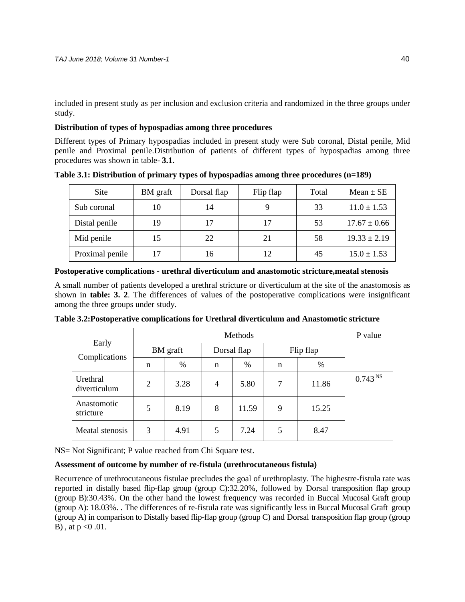included in present study as per inclusion and exclusion criteria and randomized in the three groups under study.

## **Distribution of types of hypospadias among three procedures**

Different types of Primary hypospadias included in present study were Sub coronal, Distal penile, Mid penile and Proximal penile.Distribution of patients of different types of hypospadias among three procedures was shown in table- **3.1.**

| Site            | BM graft | Dorsal flap | Flip flap | Total | $Mean \pm SE$    |
|-----------------|----------|-------------|-----------|-------|------------------|
| Sub coronal     | 10       | 14          |           | 33    | $11.0 \pm 1.53$  |
| Distal penile   | 19       | 17          | 17        | 53    | $17.67 \pm 0.66$ |
| Mid penile      | 15       | 22          | 21        | 58    | $19.33 \pm 2.19$ |
| Proximal penile | 17       | 16          |           | 45    | $15.0 \pm 1.53$  |

**Table 3.1: Distribution of primary types of hypospadias among three procedures (n=189)**

## **Postoperative complications - urethral diverticulum and anastomotic stricture,meatal stenosis**

A small number of patients developed a urethral stricture or diverticulum at the site of the anastomosis as shown in **table: 3. 2**. The differences of values of the postoperative complications were insignificant among the three groups under study.

|                          |          | P value |             |       |           |       |                     |
|--------------------------|----------|---------|-------------|-------|-----------|-------|---------------------|
| Early<br>Complications   | BM graft |         | Dorsal flap |       | Flip flap |       |                     |
|                          | n        | $\%$    | n           | %     | n         | %     |                     |
| Urethral<br>diverticulum | 2        | 3.28    | 4           | 5.80  | 7         | 11.86 | 0.743 <sup>NS</sup> |
| Anastomotic<br>stricture | 5        | 8.19    | 8           | 11.59 | 9         | 15.25 |                     |
| Meatal stenosis          | 3        | 4.91    | 5           | 7.24  | 5         | 8.47  |                     |

**Table 3.2:Postoperative complications for Urethral diverticulum and Anastomotic stricture**

NS= Not Significant; P value reached from Chi Square test.

## **Assessment of outcome by number of re-fistula (urethrocutaneous fistula)**

Recurrence of urethrocutaneous fistulae precludes the goal of urethroplasty. The highestre-fistula rate was reported in distally based flip-flap group (group C):32.20%, followed by Dorsal transposition flap group (group B):30.43%. On the other hand the lowest frequency was recorded in Buccal Mucosal Graft group (group A): 18.03%. . The differences of re-fistula rate was significantly less in Buccal Mucosal Graft group (group A) in comparison to Distally based flip-flap group (group C) and Dorsal transposition flap group (group B), at  $p < 0.01$ .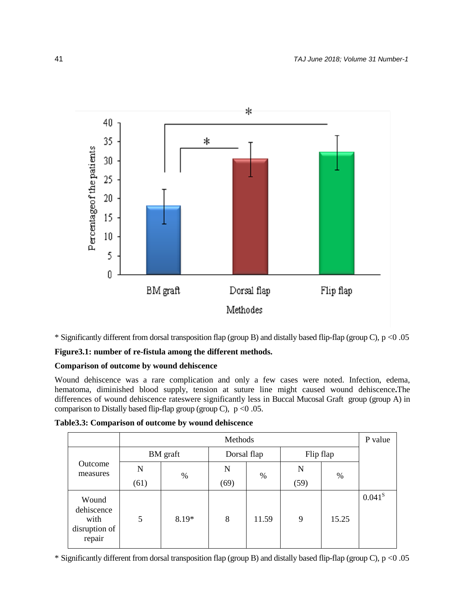

\* Significantly different from dorsal transposition flap (group B) and distally based flip-flap (group C), p <0 .05

# **Figure3.1: number of re-fistula among the different methods.**

## **Comparison of outcome by wound dehiscence**

Wound dehiscence was a rare complication and only a few cases were noted. Infection, edema, hematoma, diminished blood supply, tension at suture line might caused wound dehiscence**.**The differences of wound dehiscence rateswere significantly less in Buccal Mucosal Graft group (group A) in comparison to Distally based flip-flap group (group C),  $p < 0.05$ .

|                                                        | Methods |          |             |       |             |       | P value     |
|--------------------------------------------------------|---------|----------|-------------|-------|-------------|-------|-------------|
|                                                        |         | BM graft | Dorsal flap |       | Flip flap   |       |             |
| Outcome<br>measures                                    | N       | $\%$     | N           | $\%$  | $\mathbf N$ | $\%$  |             |
|                                                        | (61)    |          | (69)        |       | (59)        |       |             |
| Wound<br>dehiscence<br>with<br>disruption of<br>repair | 5       | 8.19*    | 8           | 11.59 | 9           | 15.25 | $0.041^{s}$ |

**Table3.3: Comparison of outcome by wound dehiscence**

\* Significantly different from dorsal transposition flap (group B) and distally based flip-flap (group C), p <0 .05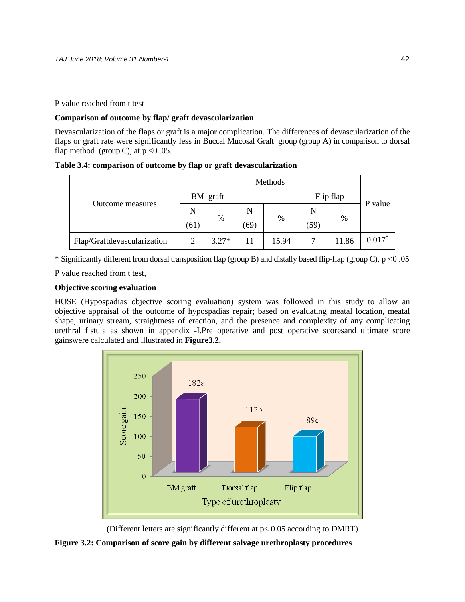P value reached from t test

## **Comparison of outcome by flap/ graft devascularization**

Devascularization of the flaps or graft is a major complication. The differences of devascularization of the flaps or graft rate were significantly less in Buccal Mucosal Graft group (group A) in comparison to dorsal flap method (group C), at  $p < 0.05$ .

**Table 3.4: comparison of outcome by flap or graft devascularization**

| Outcome measures            | BM graft       |         |      |       | Flip flap |       | P value     |
|-----------------------------|----------------|---------|------|-------|-----------|-------|-------------|
|                             | N              | $\%$    | N    |       | N         |       |             |
|                             | (61)           |         | (69) | %     | (59)      | %     |             |
| Flap/Graftdevascularization | $\overline{2}$ | $3.27*$ | 11   | 15.94 |           | 11.86 | $0.017^{s}$ |

\* Significantly different from dorsal transposition flap (group B) and distally based flip-flap (group C), p <0 .05

P value reached from t test,

## **Objective scoring evaluation**

HOSE (Hypospadias objective scoring evaluation) system was followed in this study to allow an objective appraisal of the outcome of hypospadias repair; based on evaluating meatal location, meatal shape, urinary stream, straightness of erection, and the presence and complexity of any complicating urethral fistula as shown in appendix -I.Pre operative and post operative scoresand ultimate score gainswere calculated and illustrated in **Figure3.2.**



(Different letters are significantly different at p< 0.05 according to DMRT).

**Figure 3.2: Comparison of score gain by different salvage urethroplasty procedures**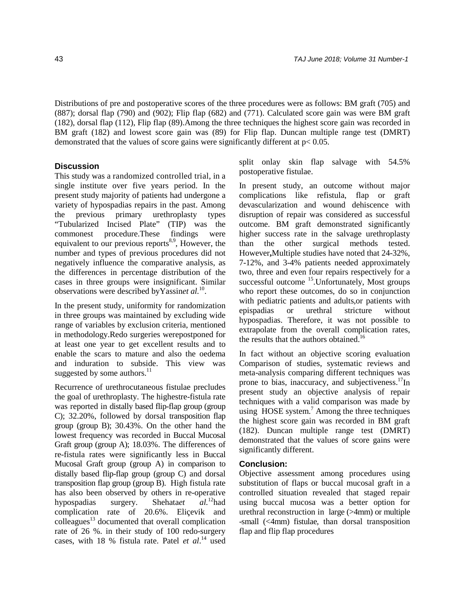Distributions of pre and postoperative scores of the three procedures were as follows: BM graft (705) and (887); dorsal flap (790) and (902); Flip flap (682) and (771). Calculated score gain was were BM graft (182), dorsal flap (112), Flip flap (89).Among the three techniques the highest score gain was recorded in BM graft (182) and lowest score gain was (89) for Flip flap. Duncan multiple range test (DMRT) demonstrated that the values of score gains were significantly different at p< 0.05.

## **Discussion**

This study was a randomized controlled trial, in a single institute over five years period. In the present study majority of patients had undergone a variety of hypospadias repairs in the past. Among the previous primary urethroplasty types "Tubularized Incised Plate" (TIP) was the commonest procedure.These findings were equivalent to our previous reports<sup>8,9</sup>, However, the number and types of previous procedures did not negatively influence the comparative analysis, as the differences in percentage distribution of the cases in three groups were insignificant. Similar observations were described byYassin*et al.*10.

In the present study, uniformity for randomization in three groups was maintained by excluding wide range of variables by exclusion criteria, mentioned in methodology.Redo surgeries werepostponed for at least one year to get excellent results and to enable the scars to mature and also the oedema and induration to subside. This view was suggested by some authors. $^{11}$ 

Recurrence of urethrocutaneous fistulae precludes the goal of urethroplasty. The highestre-fistula rate was reported in distally based flip-flap group (group C); 32.20%, followed by dorsal transposition flap group (group B); 30.43%. On the other hand the lowest frequency was recorded in Buccal Mucosal Graft group (group A); 18.03%. The differences of re-fistula rates were significantly less in Buccal Mucosal Graft group (group A) in comparison to distally based flip-flap group (group C) and dorsal transposition flap group (group B). High fistula rate has also been observed by others in re-operative hypospadias surgery. Shehata*et al.*12had complication rate of 20.6%. Eliçevik and  $\text{colle}$ agues $^{13}$  documented that overall complication rate of 26 %. in their study of 100 redo-surgery cases, with 18 % fistula rate. Patel *et al*. <sup>14</sup> used split onlay skin flap salvage with 54.5% postoperative fistulae.

In present study, an outcome without major complications like refistula, flap or graft devascularization and wound dehiscence with disruption of repair was considered as successful outcome. BM graft demonstrated significantly higher success rate in the salvage urethroplasty than the other surgical methods tested. However**,**Multiple studies have noted that 24-32%, 7-12%, and 3-4% patients needed approximately two, three and even four repairs respectively for a successful outcome <sup>15</sup>. Unfortunately, Most groups who report these outcomes, do so in conjunction with pediatric patients and adults,or patients with epispadias or urethral stricture without hypospadias. Therefore, it was not possible to extrapolate from the overall complication rates, the results that the authors obtained.<sup>16</sup>

In fact without an objective scoring evaluation Comparison of studies, systematic reviews and meta-analysis comparing different techniques was prone to bias, inaccuracy, and subjectiveness.<sup>17</sup>In present study an objective analysis of repair techniques with a valid comparison was made by using  $HOSE$  system.<sup>7</sup> Among the three techniques the highest score gain was recorded in BM graft (182). Duncan multiple range test (DMRT) demonstrated that the values of score gains were significantly different.

## **Conclusion:**

Objective assessment among procedures using substitution of flaps or buccal mucosal graft in a controlled situation revealed that staged repair using buccal mucosa was a better option for urethral reconstruction in  $\text{large}$  ( $\text{94mm}$ ) or multiple -small (<4mm) fistulae, than dorsal transposition flap and flip flap procedures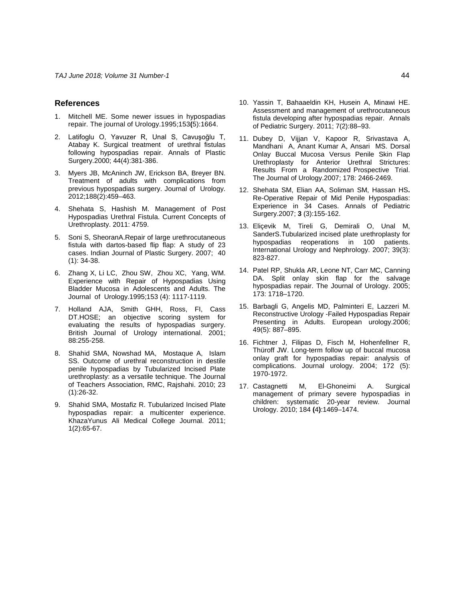#### **References**

- 1. Mitchell ME. Some newer issues in hypospadias repair. The journal of Urology.1995;153**(**5):1664.
- 2. Latifoglu O, Yavuzer R, Unal S, Cavuşoğlu T, Atabay K. Surgical treatment of urethral fistulas following hypospadias repair. Annals of Plastic Surgery.2000; 44(4):381-386.
- 3. Myers JB, McAninch JW, Erickson BA, Breyer BN. Treatment of adults with complications from previous hypospadias surgery. Journal of Urology. 2012;188(2):459–463.
- 4. Shehata S, Hashish M. Management of Post Hypospadias Urethral Fistula. Current Concepts of Urethroplasty. 2011: 4759.
- 5. Soni S, SheoranA.Repair of large urethrocutaneous fistula with dartos-based flip flap: A study of 23 cases. Indian Journal of Plastic Surgery. 2007; 40 (1): 34-38.
- 6. Zhang X, Li LC, Zhou SW, Zhou XC, Yang, WM. Experience with Repair of Hypospadias Using Bladder Mucosa in Adolescents and Adults. The Journal of Urology.1995;153 (4): 1117-1119.
- 7. Holland AJA, Smith GHH, Ross, FI, Cass DT.HOSE; an objective scoring system for evaluating the results of hypospadias surgery. British Journal of Urology international. 2001; 88:255-258.
- 8. Shahid SMA, Nowshad MA, Mostaque A, Islam SS. Outcome of urethral reconstruction in destile penile hypospadias by Tubularized Incised Plate urethroplasty: as a versatile technique. The Journal of Teachers Association, RMC, Rajshahi. 2010; 23 (1):26-32.
- 9. Shahid SMA, Mostafiz R. Tubularized Incised Plate hypospadias repair: a multicenter experience. KhazaYunus Ali Medical College Journal. 2011; 1(2):65-67.
- 10. Yassin T, Bahaaeldin KH, Husein A, Minawi HE. Assessment and management of urethrocutaneous fistula developing after hypospadias repair. Annals of Pediatric Surgery. 2011; 7(2):88–93.
- 11. Dubey D, Vijjan V, Kapoor R, Srivastava A, Mandhani A, Anant Kumar A, Ansari MS. Dorsal Onlay Buccal Mucosa Versus Penile Skin Flap Urethroplasty for Anterior Urethral Strictures: Results From a Randomized Prospective Trial. The Journal of Urology.2007; 178: 2466-2469.
- 12. Shehata SM, Elian AA, Soliman SM, Hassan HS**.**  Re-Operative Repair of Mid Penile Hypospadias: Experience in 34 Cases. Annals of Pediatric Surgery.2007; **3** (3):155-162.
- 13. Eliçevik M, Tireli G, Demirali O, Unal M, SanderS.Tubularized incised plate urethroplasty for hypospadias reoperations in 100 patients. International Urology and Nephrology. 2007; 39(3): 823-827.
- 14. Patel RP, Shukla AR, Leone NT, Carr MC, Canning DA. Split onlay skin flap for the salvage hypospadias repair. The Journal of Urology. 2005; 173: 1718–1720.
- 15. Barbagli G, Angelis MD, Palminteri E, Lazzeri M. Reconstructive Urology -Failed Hypospadias Repair Presenting in Adults. European urology.2006; 49(5): 887–895.
- 16. Fichtner J, Filipas D, Fisch M, Hohenfellner R, Thüroff JW. Long-term follow up of buccal mucosa onlay graft for hypospadias repair: analysis of complications. Journal urology. 2004; 172 (5): 1970-1972.
- 17. Castagnetti M, El-Ghoneimi A. Surgical management of primary severe hypospadias in children: systematic 20-year review. Journal Urology. 2010; 184 **(**4**)**:1469–1474.